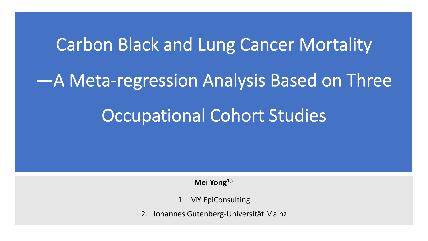# Carbon Black and Lung Cancer Mortality —A Meta-regression Analysis Based on Three Occupational Cohort Studies

**Mei Yong**1,2

- 1. MY EpiConsulting
- 2. Johannes Gutenberg-Universität Mainz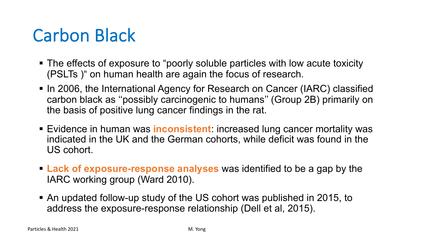# Carbon Black

- § The effects of exposure to "poorly soluble particles with low acute toxicity (PSLTs )" on human health are again the focus of research.
- In 2006, the International Agency for Research on Cancer (IARC) classified carbon black as ''possibly carcinogenic to humans'' (Group 2B) primarily on the basis of positive lung cancer findings in the rat.
- Evidence in human was **inconsistent**: increased lung cancer mortality was indicated in the UK and the German cohorts, while deficit was found in the US cohort.
- § **Lack of exposure-response analyses** was identified to be a gap by the IARC working group (Ward 2010).
- § An updated follow-up study of the US cohort was published in 2015, to address the exposure-response relationship (Dell et al, 2015).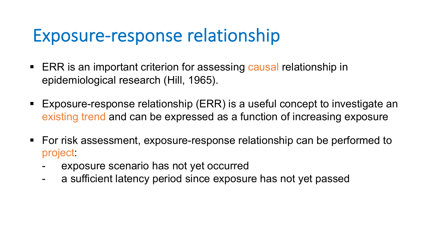#### Exposure-response relationship

- ERR is an important criterion for assessing causal relationship in epidemiological research (Hill, 1965).
- Exposure-response relationship (ERR) is a useful concept to investigate an existing trend and can be expressed as a function of increasing exposure
- For risk assessment, exposure-response relationship can be performed to project:
	- exposure scenario has not yet occurred
	- a sufficient latency period since exposure has not yet passed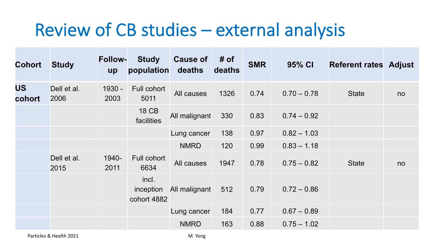#### Review of CB studies – external analysis

| <b>Cohort</b>       | <b>Study</b>        | <b>Follow-</b><br>up | <b>Study</b><br>population        | <b>Cause of</b><br>deaths | # of<br>deaths | <b>SMR</b> | 95% CI        | <b>Referent rates Adjust</b> |    |
|---------------------|---------------------|----------------------|-----------------------------------|---------------------------|----------------|------------|---------------|------------------------------|----|
| <b>US</b><br>cohort | Dell et al.<br>2006 | 1930 -<br>2003       | Full cohort<br>5011               | All causes                | 1326           | 0.74       | $0.70 - 0.78$ | <b>State</b>                 | no |
|                     |                     |                      | <b>18 CB</b><br>facilities        | All malignant             | 330            | 0.83       | $0.74 - 0.92$ |                              |    |
|                     |                     |                      |                                   | Lung cancer               | 138            | 0.97       | $0.82 - 1.03$ |                              |    |
|                     |                     |                      |                                   | <b>NMRD</b>               | 120            | 0.99       | $0.83 - 1.18$ |                              |    |
|                     | Dell et al.<br>2015 | 1940-<br>2011        | Full cohort<br>6634               | All causes                | 1947           | 0.78       | $0.75 - 0.82$ | <b>State</b>                 | no |
|                     |                     |                      | incl.<br>inception<br>cohort 4882 | All malignant             | 512            | 0.79       | $0.72 - 0.86$ |                              |    |
|                     |                     |                      |                                   | Lung cancer               | 184            | 0.77       | $0.67 - 0.89$ |                              |    |
|                     |                     |                      |                                   | <b>NMRD</b>               | 163            | 0.88       | $0.75 - 1.02$ |                              |    |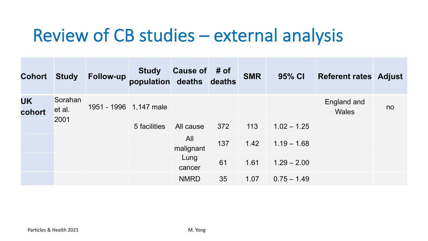#### Review of CB studies – external analysis

| <b>Cohort Study</b> |                           | <b>Follow-up</b>       | <b>Study</b><br>population deaths deaths | Cause of # of    |     | <b>SMR</b> | 95% CI        | <b>Referent rates Adjust</b> |    |
|---------------------|---------------------------|------------------------|------------------------------------------|------------------|-----|------------|---------------|------------------------------|----|
| <b>UK</b><br>cohort | Sorahan<br>et al.<br>2001 | 1951 - 1996 1,147 male |                                          |                  |     |            |               | England and<br><b>Wales</b>  | no |
|                     |                           |                        | 5 facilities                             | All cause        | 372 | 113        | $1.02 - 1.25$ |                              |    |
|                     |                           |                        |                                          | All<br>malignant | 137 | 1.42       | $1.19 - 1.68$ |                              |    |
|                     |                           |                        |                                          | Lung<br>cancer   | 61  | 1.61       | $1.29 - 2.00$ |                              |    |
|                     |                           |                        |                                          | <b>NMRD</b>      | 35  | 1.07       | $0.75 - 1.49$ |                              |    |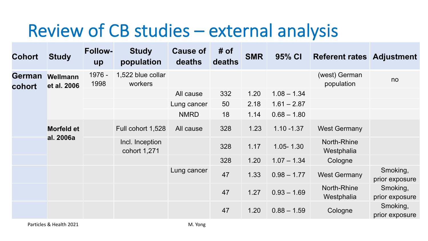# Review of CB studies – external analysis

| <b>Cohort</b>           | <b>Study</b>            | <b>Follow-</b><br><b>up</b> | <b>Study</b><br>population      | <b>Cause of</b><br>deaths | # of<br>deaths | <b>SMR</b> | 95% CI        | <b>Referent rates Adjustment</b> |                            |
|-------------------------|-------------------------|-----------------------------|---------------------------------|---------------------------|----------------|------------|---------------|----------------------------------|----------------------------|
| <b>German</b><br>cohort | Wellmann<br>et al. 2006 | 1976 -<br>1998              | 1,522 blue collar<br>workers    |                           |                |            |               | (west) German<br>population      | no                         |
|                         |                         |                             |                                 | All cause                 | 332            | 1.20       | $1.08 - 1.34$ |                                  |                            |
|                         |                         |                             |                                 | Lung cancer               | 50             | 2.18       | $1.61 - 2.87$ |                                  |                            |
|                         |                         |                             |                                 | <b>NMRD</b>               | 18             | 1.14       | $0.68 - 1.80$ |                                  |                            |
|                         | <b>Morfeld et</b>       |                             | Full cohort 1,528               | All cause                 | 328            | 1.23       | $1.10 - 1.37$ | <b>West Germany</b>              |                            |
|                         | al. 2006a               |                             | Incl. Inception<br>cohort 1,271 |                           | 328            | 1.17       | $1.05 - 1.30$ | <b>North-Rhine</b><br>Westphalia |                            |
|                         |                         |                             |                                 |                           | 328            | 1.20       | $1.07 - 1.34$ | Cologne                          |                            |
|                         |                         |                             |                                 | Lung cancer               | 47             | 1.33       | $0.98 - 1.77$ | <b>West Germany</b>              | Smoking,<br>prior exposure |
|                         |                         |                             |                                 |                           | 47             | 1.27       | $0.93 - 1.69$ | <b>North-Rhine</b><br>Westphalia | Smoking,<br>prior exposure |
|                         |                         |                             |                                 |                           | 47             | 1.20       | $0.88 - 1.59$ | Cologne                          | Smoking,<br>prior exposure |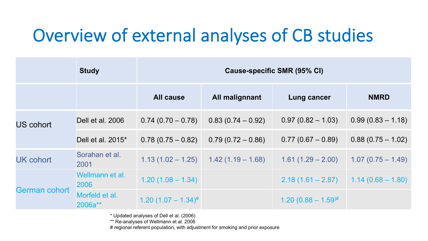# Overview of external analyses of CB studies

|                      | <b>Study</b>              | <b>Cause-specific SMR (95% CI)</b> |                                         |                           |                     |  |  |  |
|----------------------|---------------------------|------------------------------------|-----------------------------------------|---------------------------|---------------------|--|--|--|
|                      |                           | <b>All cause</b>                   | All malignnant                          | Lung cancer               | <b>NMRD</b>         |  |  |  |
| <b>US cohort</b>     | Dell et al. 2006          | $0.74(0.70-0.78)$                  | $0.83(0.74-0.92)$                       | $0.97(0.82 - 1.03)$       | $0.99(0.83 - 1.18)$ |  |  |  |
|                      | Dell et al. 2015*         | $0.78(0.75-0.82)$                  | $0.79(0.72 - 0.86)$                     | $0.77(0.67 - 0.89)$       | $0.88(0.75 - 1.02)$ |  |  |  |
| <b>UK cohort</b>     | Sorahan et al.<br>2001    |                                    | $1.13(1.02 - 1.25)$ $1.42(1.19 - 1.68)$ | $1.61(1.29 - 2.00)$       | $1.07(0.75 - 1.49)$ |  |  |  |
|                      | Wellmann et al.<br>2006   | $1.20(1.08 - 1.34)$                |                                         | $2.18(1.61 - 2.87)$       | $1.14(0.68 - 1.80)$ |  |  |  |
| <b>German cohort</b> | Morfeld et al.<br>2006a** | 1.20 $(1.07 - 1.34)^{\#}$          |                                         | $1.20 (0.88 - 1.59)^{\#}$ |                     |  |  |  |

\* Updated analyses of Dell et al. (2006)

\*\* Re-analyses of Wellmann et al. 2006

# regional referent population, with adjustment for smoking and prior exposure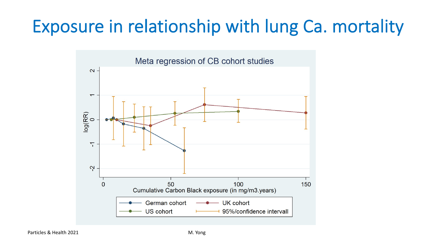# Exposure in relationship with lung Ca. mortality

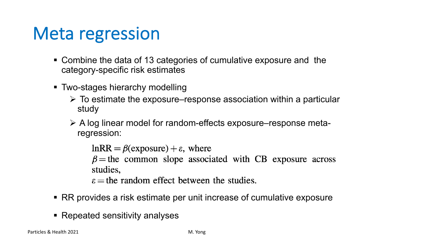#### Meta regression

- Combine the data of 13 categories of cumulative exposure and the category-specific risk estimates
- § Two-stages hierarchy modelling
	- $\triangleright$  To estimate the exposure–response association within a particular study
	- $\triangleright$  A log linear model for random-effects exposure–response metaregression:

 $lnRR = \beta$ (exposure) +  $\varepsilon$ , where  $\beta$  = the common slope associated with CB exposure across studies,

 $\epsilon$  = the random effect between the studies.

- RR provides a risk estimate per unit increase of cumulative exposure
- Repeated sensitivity analyses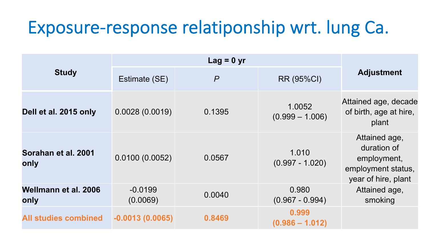## Exposure-response relatiponship wrt. lung Ca.

| <b>Study</b>                 | Estimate (SE)         | $\overline{P}$ | RR (95%CI)                  | <b>Adjustment</b>                                                                        |
|------------------------------|-----------------------|----------------|-----------------------------|------------------------------------------------------------------------------------------|
| Dell et al. 2015 only        | 0.0028(0.0019)        | 0.1395         | 1.0052<br>$(0.999 - 1.006)$ | Attained age, decade<br>of birth, age at hire,<br>plant                                  |
| Sorahan et al. 2001<br>only  | 0.0100(0.0052)        | 0.0567         | 1.010<br>$(0.997 - 1.020)$  | Attained age,<br>duration of<br>employment,<br>employment status,<br>year of hire, plant |
| Wellmann et al. 2006<br>only | $-0.0199$<br>(0.0069) | 0.0040         | 0.980<br>$(0.967 - 0.994)$  | Attained age,<br>smoking                                                                 |
| <b>All studies combined</b>  | $-0.0013(0.0065)$     | 0.8469         | 0.999<br>$(0.986 - 1.012)$  |                                                                                          |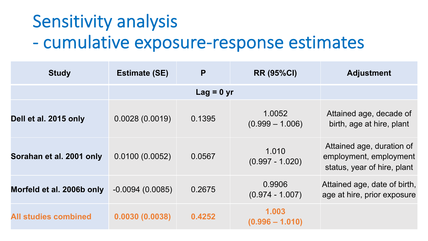# Sensitivity analysis - cumulative exposure-response estimates

| <b>Study</b>                | <b>Estimate (SE)</b> | P      | <b>RR (95%CI)</b>           | <b>Adjustment</b>                                                                  |
|-----------------------------|----------------------|--------|-----------------------------|------------------------------------------------------------------------------------|
|                             |                      |        |                             |                                                                                    |
| Dell et al. 2015 only       | 0.0028(0.0019)       | 0.1395 | 1.0052<br>$(0.999 - 1.006)$ | Attained age, decade of<br>birth, age at hire, plant                               |
| Sorahan et al. 2001 only    | 0.0100(0.0052)       | 0.0567 | 1.010<br>$(0.997 - 1.020)$  | Attained age, duration of<br>employment, employment<br>status, year of hire, plant |
| Morfeld et al. 2006b only   | $-0.0094(0.0085)$    | 0.2675 | 0.9906<br>$(0.974 - 1.007)$ | Attained age, date of birth,<br>age at hire, prior exposure                        |
| <b>All studies combined</b> | 0.0030(0.0038)       | 0.4252 | 1.003<br>$(0.996 - 1.010)$  |                                                                                    |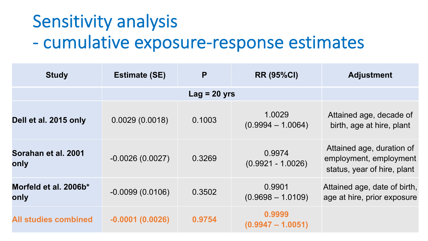# Sensitivity analysis - cumulative exposure-response estimates

| <b>Study</b>                  | <b>Estimate (SE)</b> | P      | <b>RR (95%CI)</b>             | <b>Adjustment</b>                                                                  |
|-------------------------------|----------------------|--------|-------------------------------|------------------------------------------------------------------------------------|
|                               |                      |        |                               |                                                                                    |
| Dell et al. 2015 only         | 0.0029(0.0018)       | 0.1003 | 1.0029<br>$(0.9994 - 1.0064)$ | Attained age, decade of<br>birth, age at hire, plant                               |
| Sorahan et al. 2001<br>only   | $-0.0026(0.0027)$    | 0.3269 | 0.9974<br>$(0.9921 - 1.0026)$ | Attained age, duration of<br>employment, employment<br>status, year of hire, plant |
| Morfeld et al. 2006b*<br>only | $-0.0099(0.0106)$    | 0.3502 | 0.9901<br>$(0.9698 - 1.0109)$ | Attained age, date of birth,<br>age at hire, prior exposure                        |
| <b>All studies combined</b>   | $-0.0001(0.0026)$    | 0.9754 | 0.9999<br>$(0.9947 - 1.0051)$ |                                                                                    |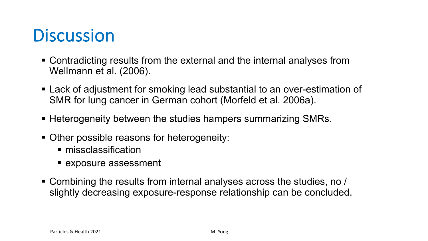#### **Discussion**

- Contradicting results from the external and the internal analyses from Wellmann et al. (2006).
- Lack of adjustment for smoking lead substantial to an over-estimation of SMR for lung cancer in German cohort (Morfeld et al. 2006a).
- Heterogeneity between the studies hampers summarizing SMRs.
- Other possible reasons for heterogeneity:
	- missclassification
	- exposure assessment
- § Combining the results from internal analyses across the studies, no / slightly decreasing exposure-response relationship can be concluded.